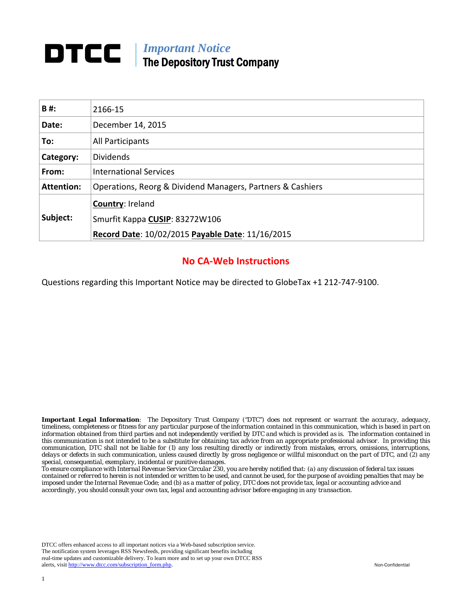## **DTCC** | *Important Notice* The Depository Trust Company

| B#:               | 2166-15                                                    |
|-------------------|------------------------------------------------------------|
| Date:             | December 14, 2015                                          |
| To:               | All Participants                                           |
| Category:         | <b>Dividends</b>                                           |
| From:             | <b>International Services</b>                              |
| <b>Attention:</b> | Operations, Reorg & Dividend Managers, Partners & Cashiers |
|                   | Country: Ireland                                           |
| Subject:          | Smurfit Kappa CUSIP: 83272W106                             |
|                   | Record Date: 10/02/2015 Payable Date: 11/16/2015           |

#### **No CA‐Web Instructions**

Questions regarding this Important Notice may be directed to GlobeTax +1 212‐747‐9100.

*Important Legal Information: The Depository Trust Company ("DTC") does not represent or warrant the accuracy, adequacy, timeliness, completeness or fitness for any particular purpose of the information contained in this communication, which is based in part on information obtained from third parties and not independently verified by DTC and which is provided as is. The information contained in this communication is not intended to be a substitute for obtaining tax advice from an appropriate professional advisor. In providing this communication, DTC shall not be liable for (1) any loss resulting directly or indirectly from mistakes, errors, omissions, interruptions, delays or defects in such communication, unless caused directly by gross negligence or willful misconduct on the part of DTC, and (2) any special, consequential, exemplary, incidental or punitive damages.* 

*To ensure compliance with Internal Revenue Service Circular 230, you are hereby notified that: (a) any discussion of federal tax issues contained or referred to herein is not intended or written to be used, and cannot be used, for the purpose of avoiding penalties that may be imposed under the Internal Revenue Code; and (b) as a matter of policy, DTC does not provide tax, legal or accounting advice and accordingly, you should consult your own tax, legal and accounting advisor before engaging in any transaction.* 

DTCC offers enhanced access to all important notices via a Web-based subscription service. The notification system leverages RSS Newsfeeds, providing significant benefits including real-time updates and customizable delivery. To learn more and to set up your own DTCC RSS alerts, visit http://www.dtcc.com/subscription\_form.php. Non-Confidential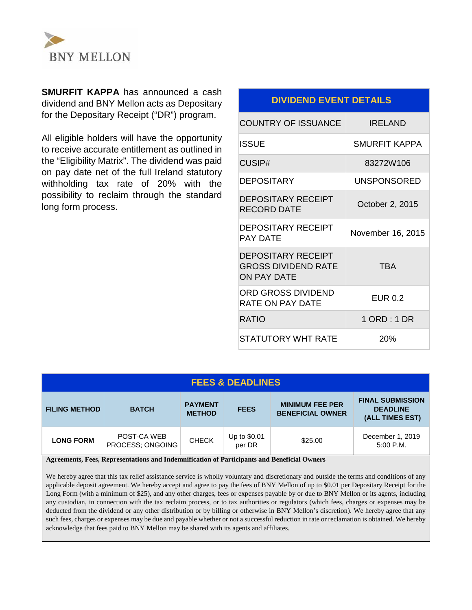

**SMURFIT KAPPA** has announced a cash dividend and BNY Mellon acts as Depositary for the Depositary Receipt ("DR") program.

All eligible holders will have the opportunity to receive accurate entitlement as outlined in the "Eligibility Matrix". The dividend was paid on pay date net of the full Ireland statutory withholding tax rate of 20% with the possibility to reclaim through the standard long form process.

#### **DIVIDEND EVENT DETAILS**

| <b>COUNTRY OF ISSUANCE</b>                                                    | IRFI AND           |  |
|-------------------------------------------------------------------------------|--------------------|--|
| ISSUE                                                                         | SMURFIT KAPPA      |  |
| <b>CUSIP#</b>                                                                 | 83272W106          |  |
| DEPOSITARY                                                                    | <b>UNSPONSORED</b> |  |
| DEPOSITARY RECEIPT<br>RECORD DATE                                             | October 2, 2015    |  |
| <b>DEPOSITARY RECEIPT</b><br>PAY DATF                                         | November 16, 2015  |  |
| <b>DEPOSITARY RECEIPT</b><br><b>GROSS DIVIDEND RATE</b><br><b>ON PAY DATE</b> | <b>TRA</b>         |  |
| ORD GROSS DIVIDEND<br>RATE ON PAY DATE                                        | <b>EUR 0.2</b>     |  |
| RATIO                                                                         | 1 ORD : 1 DR       |  |
| STATUTORY WHT RATE                                                            | 20%                |  |

#### **FEES & DEADLINES**

| <b>FILING METHOD</b> | <b>BATCH</b>                    | <b>PAYMENT</b><br><b>METHOD</b> | <b>FEES</b>            | <b>MINIMUM FEE PER</b><br><b>BENEFICIAL OWNER</b> | <b>FINAL SUBMISSION</b><br><b>DEADLINE</b><br>(ALL TIMES EST) |
|----------------------|---------------------------------|---------------------------------|------------------------|---------------------------------------------------|---------------------------------------------------------------|
| <b>LONG FORM</b>     | POST-CA WEB<br>PROCESS; ONGOING | <b>CHECK</b>                    | Up to \$0.01<br>per DR | \$25.00                                           | December 1, 2019<br>$5:00$ P.M.                               |

**Agreements, Fees, Representations and Indemnification of Participants and Beneficial Owners**

We hereby agree that this tax relief assistance service is wholly voluntary and discretionary and outside the terms and conditions of any applicable deposit agreement. We hereby accept and agree to pay the fees of BNY Mellon of up to \$0.01 per Depositary Receipt for the Long Form (with a minimum of \$25), and any other charges, fees or expenses payable by or due to BNY Mellon or its agents, including any custodian, in connection with the tax reclaim process, or to tax authorities or regulators (which fees, charges or expenses may be deducted from the dividend or any other distribution or by billing or otherwise in BNY Mellon's discretion). We hereby agree that any such fees, charges or expenses may be due and payable whether or not a successful reduction in rate or reclamation is obtained. We hereby acknowledge that fees paid to BNY Mellon may be shared with its agents and affiliates.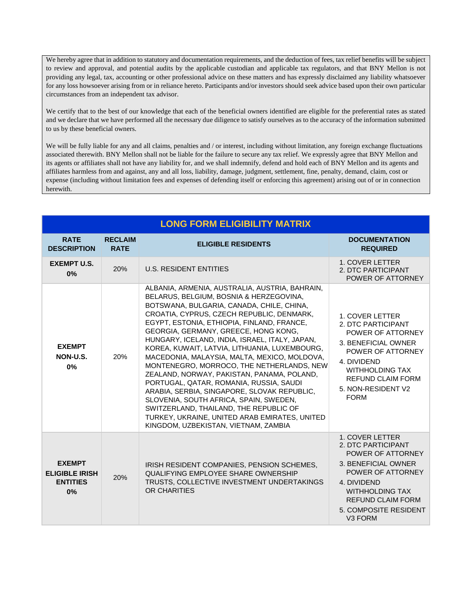We hereby agree that in addition to statutory and documentation requirements, and the deduction of fees, tax relief benefits will be subject to review and approval, and potential audits by the applicable custodian and applicable tax regulators, and that BNY Mellon is not providing any legal, tax, accounting or other professional advice on these matters and has expressly disclaimed any liability whatsoever for any loss howsoever arising from or in reliance hereto. Participants and/or investors should seek advice based upon their own particular circumstances from an independent tax advisor.

We certify that to the best of our knowledge that each of the beneficial owners identified are eligible for the preferential rates as stated and we declare that we have performed all the necessary due diligence to satisfy ourselves as to the accuracy of the information submitted to us by these beneficial owners.

We will be fully liable for any and all claims, penalties and / or interest, including without limitation, any foreign exchange fluctuations associated therewith. BNY Mellon shall not be liable for the failure to secure any tax relief. We expressly agree that BNY Mellon and its agents or affiliates shall not have any liability for, and we shall indemnify, defend and hold each of BNY Mellon and its agents and affiliates harmless from and against, any and all loss, liability, damage, judgment, settlement, fine, penalty, demand, claim, cost or expense (including without limitation fees and expenses of defending itself or enforcing this agreement) arising out of or in connection herewith.

| <b>LONG FORM ELIGIBILITY MATRIX</b>                             |                               |                                                                                                                                                                                                                                                                                                                                                                                                                                                                                                                                                                                                                                                                                                                                                                                                |                                                                                                                                                                                                                             |  |
|-----------------------------------------------------------------|-------------------------------|------------------------------------------------------------------------------------------------------------------------------------------------------------------------------------------------------------------------------------------------------------------------------------------------------------------------------------------------------------------------------------------------------------------------------------------------------------------------------------------------------------------------------------------------------------------------------------------------------------------------------------------------------------------------------------------------------------------------------------------------------------------------------------------------|-----------------------------------------------------------------------------------------------------------------------------------------------------------------------------------------------------------------------------|--|
| <b>RATE</b><br><b>DESCRIPTION</b>                               | <b>RECLAIM</b><br><b>RATE</b> | <b>ELIGIBLE RESIDENTS</b>                                                                                                                                                                                                                                                                                                                                                                                                                                                                                                                                                                                                                                                                                                                                                                      | <b>DOCUMENTATION</b><br><b>REQUIRED</b>                                                                                                                                                                                     |  |
| <b>EXEMPT U.S.</b><br>0%                                        | 20%                           | <b>U.S. RESIDENT ENTITIES</b>                                                                                                                                                                                                                                                                                                                                                                                                                                                                                                                                                                                                                                                                                                                                                                  | 1. COVER LETTER<br>2. DTC PARTICIPANT<br>POWER OF ATTORNEY                                                                                                                                                                  |  |
| <b>EXEMPT</b><br>NON-U.S.<br>0%                                 | 20%                           | ALBANIA, ARMENIA, AUSTRALIA, AUSTRIA, BAHRAIN,<br>BELARUS, BELGIUM, BOSNIA & HERZEGOVINA,<br>BOTSWANA, BULGARIA, CANADA, CHILE, CHINA,<br>CROATIA, CYPRUS, CZECH REPUBLIC, DENMARK,<br>EGYPT, ESTONIA, ETHIOPIA, FINLAND, FRANCE,<br>GEORGIA, GERMANY, GREECE, HONG KONG,<br>HUNGARY, ICELAND, INDIA, ISRAEL, ITALY, JAPAN,<br>KOREA, KUWAIT, LATVIA, LITHUANIA, LUXEMBOURG,<br>MACEDONIA, MALAYSIA, MALTA, MEXICO, MOLDOVA,<br>MONTENEGRO, MORROCO, THE NETHERLANDS, NEW<br>ZEALAND, NORWAY, PAKISTAN, PANAMA, POLAND,<br>PORTUGAL, QATAR, ROMANIA, RUSSIA, SAUDI<br>ARABIA, SERBIA, SINGAPORE, SLOVAK REPUBLIC,<br>SLOVENIA, SOUTH AFRICA, SPAIN, SWEDEN,<br>SWITZERLAND, THAILAND, THE REPUBLIC OF<br>TURKEY, UKRAINE, UNITED ARAB EMIRATES, UNITED<br>KINGDOM, UZBEKISTAN, VIETNAM, ZAMBIA | <b>1. COVER LETTER</b><br>2. DTC PARTICIPANT<br>POWER OF ATTORNEY<br>3. BENEFICIAL OWNER<br>POWER OF ATTORNEY<br>4. DIVIDEND<br><b>WITHHOLDING TAX</b><br><b>REFUND CLAIM FORM</b><br>5. NON-RESIDENT V2<br><b>FORM</b>     |  |
| <b>EXEMPT</b><br><b>ELIGIBLE IRISH</b><br><b>ENTITIES</b><br>0% | 20%                           | IRISH RESIDENT COMPANIES, PENSION SCHEMES,<br>QUALIFYING EMPLOYEE SHARE OWNERSHIP<br>TRUSTS, COLLECTIVE INVESTMENT UNDERTAKINGS<br>OR CHARITIES                                                                                                                                                                                                                                                                                                                                                                                                                                                                                                                                                                                                                                                | 1. COVER LETTER<br>2. DTC PARTICIPANT<br>POWER OF ATTORNEY<br>3. BENEFICIAL OWNER<br>POWER OF ATTORNEY<br>4. DIVIDEND<br><b>WITHHOLDING TAX</b><br><b>REFUND CLAIM FORM</b><br>5. COMPOSITE RESIDENT<br>V <sub>3</sub> FORM |  |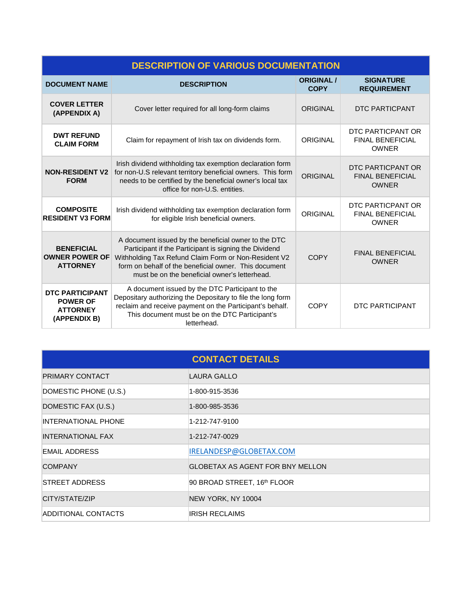| <b>DESCRIPTION OF VARIOUS DOCUMENTATION</b>                                  |                                                                                                                                                                                                                                                                                  |                                  |                                                              |  |
|------------------------------------------------------------------------------|----------------------------------------------------------------------------------------------------------------------------------------------------------------------------------------------------------------------------------------------------------------------------------|----------------------------------|--------------------------------------------------------------|--|
| <b>DOCUMENT NAME</b>                                                         | <b>DESCRIPTION</b>                                                                                                                                                                                                                                                               | <b>ORIGINAL /</b><br><b>COPY</b> | <b>SIGNATURE</b><br><b>REQUIREMENT</b>                       |  |
| <b>COVER LETTER</b><br>(APPENDIX A)                                          | Cover letter required for all long-form claims                                                                                                                                                                                                                                   | ORIGINAL                         | DTC PARTICPANT                                               |  |
| <b>DWT REFUND</b><br><b>CLAIM FORM</b>                                       | Claim for repayment of Irish tax on dividends form.                                                                                                                                                                                                                              | <b>ORIGINAL</b>                  | DTC PARTICPANT OR<br><b>FINAL BENEFICIAL</b><br><b>OWNER</b> |  |
| <b>NON-RESIDENT V2</b><br><b>FORM</b>                                        | Irish dividend withholding tax exemption declaration form<br>for non-U.S relevant territory beneficial owners. This form<br>needs to be certified by the beneficial owner's local tax<br>office for non-U.S. entities.                                                           | <b>ORIGINAL</b>                  | DTC PARTICPANT OR<br><b>FINAL BENEFICIAL</b><br><b>OWNER</b> |  |
| <b>COMPOSITE</b><br><b>RESIDENT V3 FORM</b>                                  | Irish dividend withholding tax exemption declaration form<br>for eligible Irish beneficial owners.                                                                                                                                                                               | ORIGINAL                         | DTC PARTICPANT OR<br><b>FINAL BENEFICIAL</b><br><b>OWNER</b> |  |
| <b>BENEFICIAL</b><br><b>OWNER POWER OF</b><br><b>ATTORNEY</b>                | A document issued by the beneficial owner to the DTC<br>Participant if the Participant is signing the Dividend<br>Withholding Tax Refund Claim Form or Non-Resident V2<br>form on behalf of the beneficial owner. This document<br>must be on the beneficial owner's letterhead. | <b>COPY</b>                      | <b>FINAL BENEFICIAL</b><br><b>OWNER</b>                      |  |
| <b>DTC PARTICIPANT</b><br><b>POWER OF</b><br><b>ATTORNEY</b><br>(APPENDIX B) | A document issued by the DTC Participant to the<br>Depositary authorizing the Depositary to file the long form<br>reclaim and receive payment on the Participant's behalf.<br>This document must be on the DTC Participant's<br>letterhead.                                      | <b>COPY</b>                      | <b>DTC PARTICIPANT</b>                                       |  |

| <b>CONTACT DETAILS</b>   |                                         |  |  |  |
|--------------------------|-----------------------------------------|--|--|--|
| <b>PRIMARY CONTACT</b>   | LAURA GALLO                             |  |  |  |
| DOMESTIC PHONE (U.S.)    | 1-800-915-3536                          |  |  |  |
| DOMESTIC FAX (U.S.)      | 1-800-985-3536                          |  |  |  |
| INTERNATIONAL PHONE      | 1-212-747-9100                          |  |  |  |
| <b>INTERNATIONAL FAX</b> | 1-212-747-0029                          |  |  |  |
| EMAIL ADDRESS            | IRELANDESP@GLOBETAX.COM                 |  |  |  |
| <b>COMPANY</b>           | <b>GLOBETAX AS AGENT FOR BNY MELLON</b> |  |  |  |
| <b>STREET ADDRESS</b>    | 90 BROAD STREET, 16th FLOOR             |  |  |  |
| CITY/STATE/ZIP           | NEW YORK, NY 10004                      |  |  |  |
| ADDITIONAL CONTACTS      | <b>IRISH RECLAIMS</b>                   |  |  |  |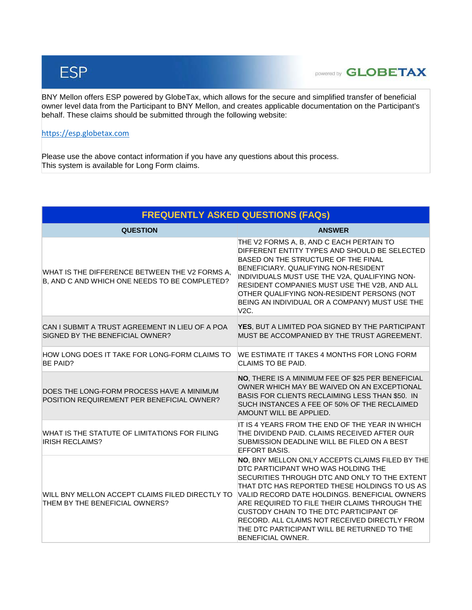# **ESP**

### **powered by GLOBETAX**

BNY Mellon offers ESP powered by GlobeTax, which allows for the secure and simplified transfer of beneficial owner level data from the Participant to BNY Mellon, and creates applicable documentation on the Participant's behalf. These claims should be submitted through the following website:

#### [https://esp.globetax.com](https://esp.globetax.com/)

Please use the above contact information if you have any questions about this process. This system is available for Long Form claims.

| <b>FREQUENTLY ASKED QUESTIONS (FAQs)</b>                                                        |                                                                                                                                                                                                                                                                                                                                                                                                                                                            |  |  |
|-------------------------------------------------------------------------------------------------|------------------------------------------------------------------------------------------------------------------------------------------------------------------------------------------------------------------------------------------------------------------------------------------------------------------------------------------------------------------------------------------------------------------------------------------------------------|--|--|
| <b>QUESTION</b>                                                                                 | <b>ANSWER</b>                                                                                                                                                                                                                                                                                                                                                                                                                                              |  |  |
| WHAT IS THE DIFFERENCE BETWEEN THE V2 FORMS A,<br>B, AND C AND WHICH ONE NEEDS TO BE COMPLETED? | THE V2 FORMS A, B, AND C EACH PERTAIN TO<br>DIFFERENT ENTITY TYPES AND SHOULD BE SELECTED<br>BASED ON THE STRUCTURE OF THE FINAL<br>BENEFICIARY. QUALIFYING NON-RESIDENT<br>INDIVIDUALS MUST USE THE V2A, QUALIFYING NON-<br>RESIDENT COMPANIES MUST USE THE V2B, AND ALL<br>OTHER QUALIFYING NON-RESIDENT PERSONS (NOT<br>BEING AN INDIVIDUAL OR A COMPANY) MUST USE THE<br>V2C.                                                                          |  |  |
| CAN I SUBMIT A TRUST AGREEMENT IN LIEU OF A POA<br>SIGNED BY THE BENEFICIAL OWNER?              | YES, BUT A LIMITED POA SIGNED BY THE PARTICIPANT<br>MUST BE ACCOMPANIED BY THE TRUST AGREEMENT.                                                                                                                                                                                                                                                                                                                                                            |  |  |
| HOW LONG DOES IT TAKE FOR LONG-FORM CLAIMS TO<br><b>BE PAID?</b>                                | WE ESTIMATE IT TAKES 4 MONTHS FOR LONG FORM<br><b>CLAIMS TO BE PAID.</b>                                                                                                                                                                                                                                                                                                                                                                                   |  |  |
| DOES THE LONG-FORM PROCESS HAVE A MINIMUM<br>POSITION REQUIREMENT PER BENEFICIAL OWNER?         | NO, THERE IS A MINIMUM FEE OF \$25 PER BENEFICIAL<br>OWNER WHICH MAY BE WAIVED ON AN EXCEPTIONAL<br>BASIS FOR CLIENTS RECLAIMING LESS THAN \$50. IN<br>SUCH INSTANCES A FEE OF 50% OF THE RECLAIMED<br>AMOUNT WILL BE APPLIED.                                                                                                                                                                                                                             |  |  |
| WHAT IS THE STATUTE OF LIMITATIONS FOR FILING<br><b>IRISH RECLAIMS?</b>                         | IT IS 4 YEARS FROM THE END OF THE YEAR IN WHICH<br>THE DIVIDEND PAID. CLAIMS RECEIVED AFTER OUR<br>SUBMISSION DEADLINE WILL BE FILED ON A BEST<br><b>EFFORT BASIS.</b>                                                                                                                                                                                                                                                                                     |  |  |
| WILL BNY MELLON ACCEPT CLAIMS FILED DIRECTLY TO<br>THEM BY THE BENEFICIAL OWNERS?               | NO, BNY MELLON ONLY ACCEPTS CLAIMS FILED BY THE<br>DTC PARTICIPANT WHO WAS HOLDING THE<br>SECURITIES THROUGH DTC AND ONLY TO THE EXTENT<br>THAT DTC HAS REPORTED THESE HOLDINGS TO US AS<br>VALID RECORD DATE HOLDINGS. BENEFICIAL OWNERS<br>ARE REQUIRED TO FILE THEIR CLAIMS THROUGH THE<br>CUSTODY CHAIN TO THE DTC PARTICIPANT OF<br>RECORD. ALL CLAIMS NOT RECEIVED DIRECTLY FROM<br>THE DTC PARTICIPANT WILL BE RETURNED TO THE<br>BENEFICIAL OWNER. |  |  |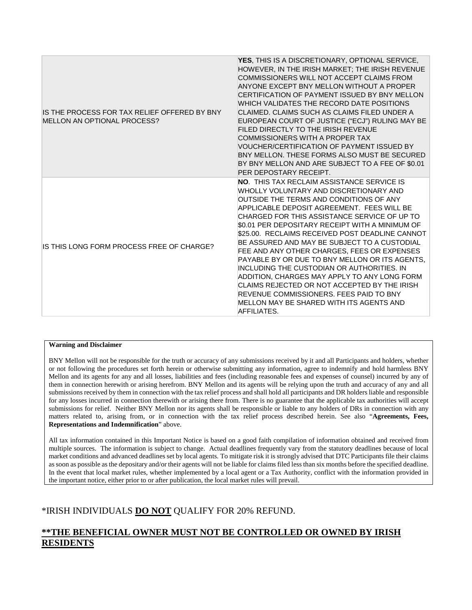| IS THE PROCESS FOR TAX RELIEF OFFERED BY BNY<br>MELLON AN OPTIONAL PROCESS? | YES, THIS IS A DISCRETIONARY, OPTIONAL SERVICE,<br>HOWEVER, IN THE IRISH MARKET; THE IRISH REVENUE<br>COMMISSIONERS WILL NOT ACCEPT CLAIMS FROM<br>ANYONE EXCEPT BNY MELLON WITHOUT A PROPER<br>CERTIFICATION OF PAYMENT ISSUED BY BNY MELLON<br>WHICH VALIDATES THE RECORD DATE POSITIONS<br>CLAIMED. CLAIMS SUCH AS CLAIMS FILED UNDER A<br>EUROPEAN COURT OF JUSTICE ("ECJ") RULING MAY BE<br>FILED DIRECTLY TO THE IRISH REVENUE<br>COMMISSIONERS WITH A PROPER TAX<br>VOUCHER/CERTIFICATION OF PAYMENT ISSUED BY<br>BNY MELLON. THESE FORMS ALSO MUST BE SECURED<br>BY BNY MELLON AND ARE SUBJECT TO A FEE OF \$0.01<br>PER DEPOSTARY RECEIPT.                                                                                             |
|-----------------------------------------------------------------------------|-------------------------------------------------------------------------------------------------------------------------------------------------------------------------------------------------------------------------------------------------------------------------------------------------------------------------------------------------------------------------------------------------------------------------------------------------------------------------------------------------------------------------------------------------------------------------------------------------------------------------------------------------------------------------------------------------------------------------------------------------|
| IS THIS LONG FORM PROCESS FREE OF CHARGE?                                   | <b>NO. THIS TAX RECLAIM ASSISTANCE SERVICE IS</b><br>WHOLLY VOLUNTARY AND DISCRETIONARY AND<br>OUTSIDE THE TERMS AND CONDITIONS OF ANY<br>APPLICABLE DEPOSIT AGREEMENT. FFES WILL BE<br>CHARGED FOR THIS ASSISTANCE SERVICE OF UP TO<br>\$0.01 PER DEPOSITARY RECEIPT WITH A MINIMUM OF<br>\$25.00. RECLAIMS RECEIVED POST DEADLINE CANNOT<br>BE ASSURED AND MAY BE SUBJECT TO A CUSTODIAL<br>FEE AND ANY OTHER CHARGES, FEES OR EXPENSES<br>PAYABLE BY OR DUE TO BNY MELLON OR ITS AGENTS,<br>INCLUDING THE CUSTODIAN OR AUTHORITIES. IN<br>ADDITION, CHARGES MAY APPLY TO ANY LONG FORM<br>CLAIMS REJECTED OR NOT ACCEPTED BY THE IRISH<br>REVENUE COMMISSIONERS. FEES PAID TO BNY<br>MELLON MAY BE SHARED WITH ITS AGENTS AND<br>AFFILIATES. |

#### **Warning and Disclaimer**

BNY Mellon will not be responsible for the truth or accuracy of any submissions received by it and all Participants and holders, whether or not following the procedures set forth herein or otherwise submitting any information, agree to indemnify and hold harmless BNY Mellon and its agents for any and all losses, liabilities and fees (including reasonable fees and expenses of counsel) incurred by any of them in connection herewith or arising herefrom. BNY Mellon and its agents will be relying upon the truth and accuracy of any and all submissions received by them in connection with the tax relief process and shall hold all participants and DR holders liable and responsible for any losses incurred in connection therewith or arising there from. There is no guarantee that the applicable tax authorities will accept submissions for relief. Neither BNY Mellon nor its agents shall be responsible or liable to any holders of DRs in connection with any matters related to, arising from, or in connection with the tax relief process described herein. See also "**Agreements, Fees, Representations and Indemnification**" above.

All tax information contained in this Important Notice is based on a good faith compilation of information obtained and received from multiple sources. The information is subject to change. Actual deadlines frequently vary from the statutory deadlines because of local market conditions and advanced deadlines set by local agents. To mitigate risk it is strongly advised that DTC Participants file their claims as soon as possible as the depositary and/or their agents will not be liable for claims filed less than six months before the specified deadline. In the event that local market rules, whether implemented by a local agent or a Tax Authority, conflict with the information provided in the important notice, either prior to or after publication, the local market rules will prevail.

#### \*IRISH INDIVIDUALS **DO NOT** QUALIFY FOR 20% REFUND.

#### **\*\*THE BENEFICIAL OWNER MUST NOT BE CONTROLLED OR OWNED BY IRISH RESIDENTS**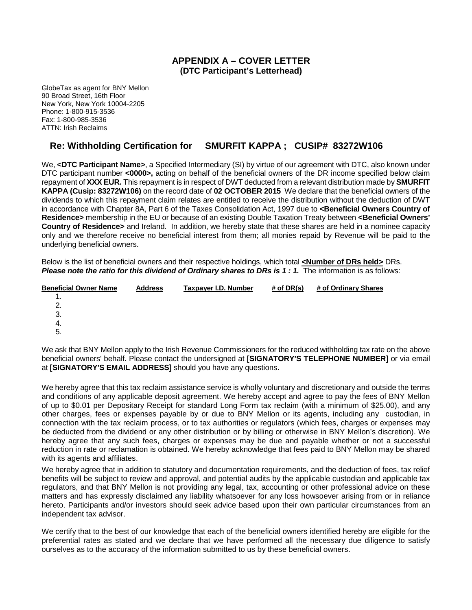#### **APPENDIX A – COVER LETTER (DTC Participant's Letterhead)**

GlobeTax as agent for BNY Mellon 90 Broad Street, 16th Floor New York, New York 10004-2205 Phone: 1-800-915-3536 Fax: 1-800-985-3536 ATTN: Irish Reclaims

#### **Re: Withholding Certification for SMURFIT KAPPA ; CUSIP# 83272W106**

We, <DTC Participant Name>, a Specified Intermediary (SI) by virtue of our agreement with DTC, also known under DTC participant number **<0000>,** acting on behalf of the beneficial owners of the DR income specified below claim repayment of **XXX EUR.** This repayment is in respect of DWT deducted from a relevant distribution made by **SMURFIT KAPPA (Cusip: 83272W106)** on the record date of **02 OCTOBER 2015** We declare that the beneficial owners of the dividends to which this repayment claim relates are entitled to receive the distribution without the deduction of DWT in accordance with Chapter 8A, Part 6 of the Taxes Consolidation Act, 1997 due to **<Beneficial Owners Country of Residence>** membership in the EU or because of an existing Double Taxation Treaty between **<Beneficial Owners' Country of Residence>** and Ireland. In addition, we hereby state that these shares are held in a nominee capacity only and we therefore receive no beneficial interest from them; all monies repaid by Revenue will be paid to the underlying beneficial owners.

Below is the list of beneficial owners and their respective holdings, which total **<Number of DRs held>** DRs. *Please note the ratio for this dividend of Ordinary shares to DRs is 1 : 1.* The information is as follows:

| <b>Beneficial Owner Name</b> | <b>Address</b> | Taxpayer I.D. Number | # of DR(s) | # of Ordinary Shares |
|------------------------------|----------------|----------------------|------------|----------------------|
| . .                          |                |                      |            |                      |
|                              |                |                      |            |                      |
| 3.                           |                |                      |            |                      |
| -4.                          |                |                      |            |                      |
| -5.                          |                |                      |            |                      |
|                              |                |                      |            |                      |

We ask that BNY Mellon apply to the Irish Revenue Commissioners for the reduced withholding tax rate on the above beneficial owners' behalf. Please contact the undersigned at **[SIGNATORY'S TELEPHONE NUMBER]** or via email at **[SIGNATORY'S EMAIL ADDRESS]** should you have any questions.

We hereby agree that this tax reclaim assistance service is wholly voluntary and discretionary and outside the terms and conditions of any applicable deposit agreement. We hereby accept and agree to pay the fees of BNY Mellon of up to \$0.01 per Depositary Receipt for standard Long Form tax reclaim (with a minimum of \$25.00), and any other charges, fees or expenses payable by or due to BNY Mellon or its agents, including any custodian, in connection with the tax reclaim process, or to tax authorities or regulators (which fees, charges or expenses may be deducted from the dividend or any other distribution or by billing or otherwise in BNY Mellon's discretion). We hereby agree that any such fees, charges or expenses may be due and payable whether or not a successful reduction in rate or reclamation is obtained. We hereby acknowledge that fees paid to BNY Mellon may be shared with its agents and affiliates.

We hereby agree that in addition to statutory and documentation requirements, and the deduction of fees, tax relief benefits will be subject to review and approval, and potential audits by the applicable custodian and applicable tax regulators, and that BNY Mellon is not providing any legal, tax, accounting or other professional advice on these matters and has expressly disclaimed any liability whatsoever for any loss howsoever arising from or in reliance hereto. Participants and/or investors should seek advice based upon their own particular circumstances from an independent tax advisor.

We certify that to the best of our knowledge that each of the beneficial owners identified hereby are eligible for the preferential rates as stated and we declare that we have performed all the necessary due diligence to satisfy ourselves as to the accuracy of the information submitted to us by these beneficial owners.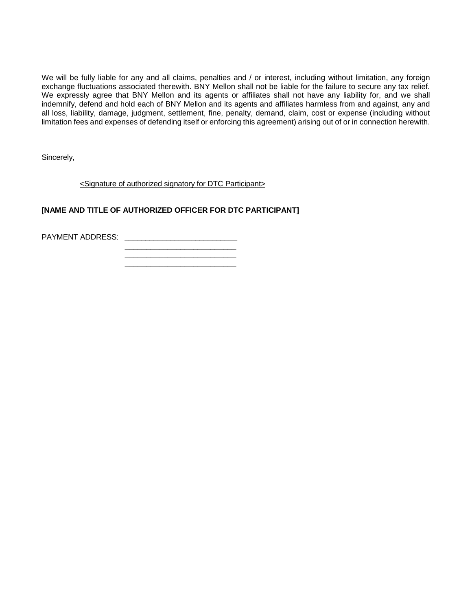We will be fully liable for any and all claims, penalties and / or interest, including without limitation, any foreign exchange fluctuations associated therewith. BNY Mellon shall not be liable for the failure to secure any tax relief. We expressly agree that BNY Mellon and its agents or affiliates shall not have any liability for, and we shall indemnify, defend and hold each of BNY Mellon and its agents and affiliates harmless from and against, any and all loss, liability, damage, judgment, settlement, fine, penalty, demand, claim, cost or expense (including without limitation fees and expenses of defending itself or enforcing this agreement) arising out of or in connection herewith.

Sincerely,

<Signature of authorized signatory for DTC Participant>

#### **[NAME AND TITLE OF AUTHORIZED OFFICER FOR DTC PARTICIPANT]**

PAYMENT ADDRESS: **\_\_\_\_\_\_\_\_\_\_\_\_\_\_\_\_\_\_\_\_\_\_\_\_\_\_\_**

 $\overline{\phantom{a}}$  , where  $\overline{\phantom{a}}$  , where  $\overline{\phantom{a}}$  , where  $\overline{\phantom{a}}$  , where  $\overline{\phantom{a}}$  **\_\_\_\_\_\_\_\_\_\_\_\_\_\_\_\_\_\_\_\_\_\_\_\_\_\_**